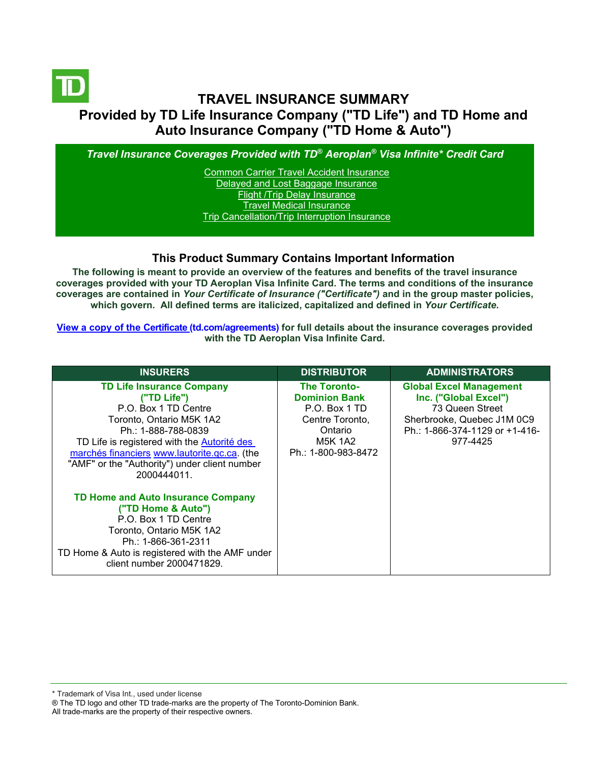

# **TRAVEL INSURANCE SUMMARY Provided by TD Life Insurance Company ("TD Life") and TD Home and Auto Insurance Company ("TD Home & Auto")**

*Travel Insurance Coverages Provided with TD® Aeroplan® Visa Infinite\* Credit Card*

[Common Carrier Travel Accident Insurance](#page-3-0) [Delayed and Lost Baggage Insurance](#page-4-0) [Flight /Trip Delay Insurance](#page-5-0) [Travel Medical Insurance](#page-6-0) [Trip Cancellation/Trip Interruption Insurance](#page-7-0)

## **This Product Summary Contains Important Information**

**The following is meant to provide an overview of the features and benefits of the travel insurance coverages provided with your TD Aeroplan Visa Infinite Card. The terms and conditions of the insurance coverages are contained in** *Your Certificate of Insurance ("Certificate")* **and in the group master policies, which govern. All defined terms are italicized, [capitalized and defined](https://www.td.com/ca/en/personal-banking/how-to/manage-my-credit-card/getting-started/?tdtab=4) in** *Your Certificate***.**

**[View a copy of the Certificate](https://www.td.com/ca/en/personal-banking/how-to/manage-my-credit-card/getting-started/?tdtab=4) (td.com/agreements) for full details about the insurance coverages provided with the TD Aeroplan Visa Infinite Card.** 

| <b>INSURERS</b>                                                                                                                                                                                                            | <b>DISTRIBUTOR</b>                                                  | <b>ADMINISTRATORS</b>                                                      |
|----------------------------------------------------------------------------------------------------------------------------------------------------------------------------------------------------------------------------|---------------------------------------------------------------------|----------------------------------------------------------------------------|
|                                                                                                                                                                                                                            |                                                                     |                                                                            |
| <b>TD Life Insurance Company</b><br>("TD Life")<br>P.O. Box 1 TD Centre                                                                                                                                                    | <b>The Toronto-</b><br><b>Dominion Bank</b><br>P.O. Box 1 TD        | <b>Global Excel Management</b><br>Inc. ("Global Excel")<br>73 Queen Street |
| Toronto, Ontario M5K 1A2<br>Ph.: 1-888-788-0839<br>TD Life is registered with the <b>Autorité des</b><br>marchés financiers www.lautorite.qc.ca. (the<br>"AMF" or the "Authority") under client number<br>2000444011.      | Centre Toronto,<br>Ontario<br><b>M5K 1A2</b><br>Ph.: 1-800-983-8472 | Sherbrooke, Quebec J1M 0C9<br>Ph.: 1-866-374-1129 or +1-416-<br>977-4425   |
| <b>TD Home and Auto Insurance Company</b><br>("TD Home & Auto")<br>P.O. Box 1 TD Centre<br>Toronto, Ontario M5K 1A2<br>Ph.: 1-866-361-2311<br>TD Home & Auto is registered with the AMF under<br>client number 2000471829. |                                                                     |                                                                            |

\* Trademark of Visa Int., used under license

All trade-marks are the property of their respective owners.

<sup>®</sup> The TD logo and other TD trade-marks are the property of The Toronto-Dominion Bank.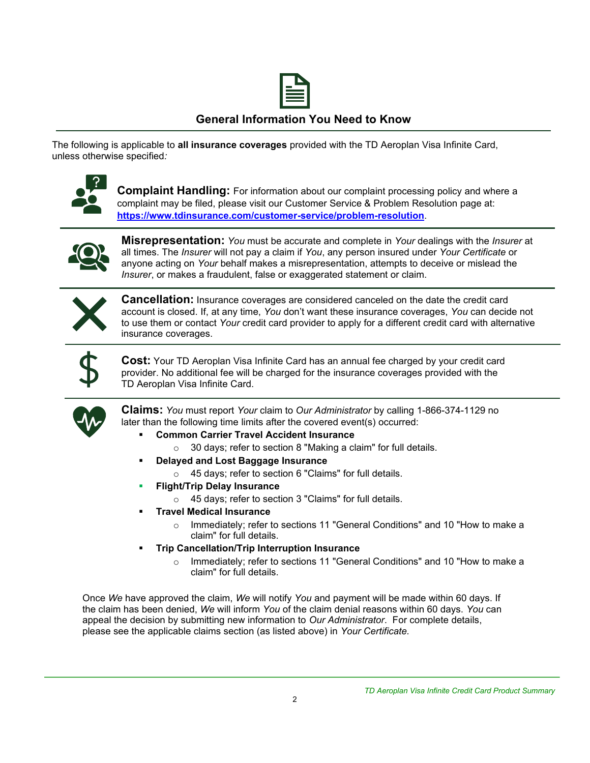

### **General Information You Need to Know**

The following is applicable to **all insurance coverages** provided with the TD Aeroplan Visa Infinite Card, unless otherwise specified*:*



**Complaint Handling:** For information about our complaint processing policy and where a complaint may be filed, please visit our Customer Service & Problem Resolution page at: **<https://www.tdinsurance.com/customer-service/problem-resolution>**.



**Misrepresentation:** *You* must be accurate and complete in *Your* dealings with the *Insurer* at all times. The *Insurer* will not pay a claim if *You*, any person insured under *Your Certificate* or anyone acting on *Your* behalf makes a misrepresentation, attempts to deceive or mislead the *Insurer*, or makes a fraudulent, false or exaggerated statement or claim.



**Cancellation:** Insurance coverages are considered canceled on the date the credit card account is closed. If, at any time, *You* don't want these insurance coverages, *You* can decide not to use them or contact *Your* credit card provider to apply for a different credit card with alternative insurance coverages.



**Cost:** Your TD Aeroplan Visa Infinite Card has an annual fee charged by your credit card provider. No additional fee will be charged for the insurance coverages provided with the TD Aeroplan Visa Infinite Card.



**Claims:** *You* must report *Your* claim to *Our Administrator* by calling 1-866-374-1129 no later than the following time limits after the covered event(s) occurred:

- **Common Carrier Travel Accident Insurance** 
	- o 30 days; refer to section 8 "Making a claim" for full details.
- **Delayed and Lost Baggage Insurance** 
	- o 45 days; refer to section 6 "Claims" for full details.
- **Flight/Trip Delay Insurance** 
	- o 45 days; refer to section 3 "Claims" for full details.
- **Travel Medical Insurance** 
	- o Immediately; refer to sections 11 "General Conditions" and 10 "How to make a claim" for full details.
- **Trip Cancellation/Trip Interruption Insurance** 
	- o Immediately; refer to sections 11 "General Conditions" and 10 "How to make a claim" for full details.

Once *We* have approved the claim, *We* will notify *You* and payment will be made within 60 days. If the claim has been denied, *We* will inform *You* of the claim denial reasons within 60 days. *You* can appeal the decision by submitting new information to *Our Administrator*. For complete details, please see the applicable claims section (as listed above) in *Your Certificate.*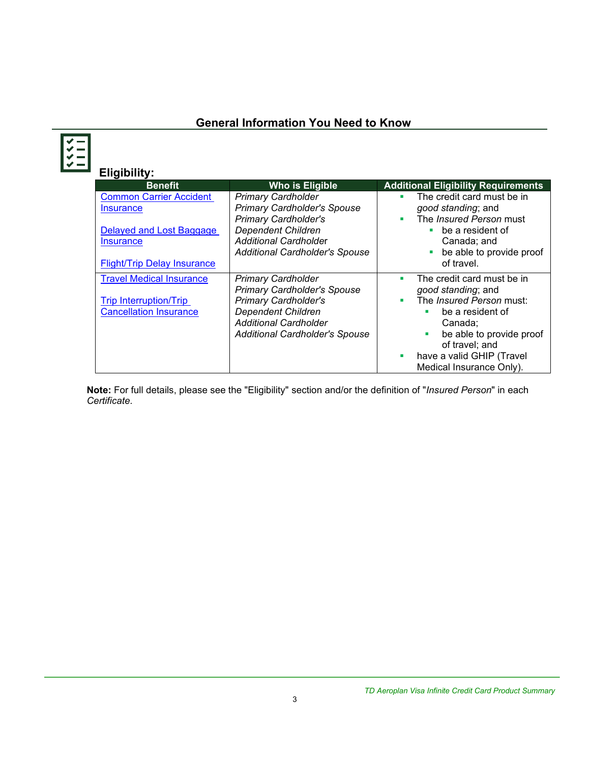# **General Information You Need to Know**

**Eligibility:**

| <b>Benefit</b>                                                                                     | <b>Who is Eligible</b>                                                                                                                                                                               | <b>Additional Eligibility Requirements</b>                                                                                                                                                                                             |
|----------------------------------------------------------------------------------------------------|------------------------------------------------------------------------------------------------------------------------------------------------------------------------------------------------------|----------------------------------------------------------------------------------------------------------------------------------------------------------------------------------------------------------------------------------------|
| <b>Common Carrier Accident</b><br><b>Insurance</b><br>Delayed and Lost Baggage<br><b>Insurance</b> | <b>Primary Cardholder</b><br><b>Primary Cardholder's Spouse</b><br><b>Primary Cardholder's</b><br><b>Dependent Children</b><br><b>Additional Cardholder</b><br><b>Additional Cardholder's Spouse</b> | The credit card must be in<br>٠<br>good standing; and<br>The <i>Insured Person</i> must<br>٠<br>be a resident of<br>Canada; and<br>be able to provide proof                                                                            |
| <b>Flight/Trip Delay Insurance</b>                                                                 |                                                                                                                                                                                                      | of travel.                                                                                                                                                                                                                             |
| <b>Travel Medical Insurance</b><br><b>Trip Interruption/Trip</b><br><b>Cancellation Insurance</b>  | <b>Primary Cardholder</b><br><b>Primary Cardholder's Spouse</b><br><b>Primary Cardholder's</b><br><b>Dependent Children</b><br><b>Additional Cardholder</b><br><b>Additional Cardholder's Spouse</b> | The credit card must be in<br>п<br>good standing; and<br>The Insured Person must:<br>п<br>be a resident of<br>٠<br>Canada:<br>be able to provide proof<br>ш<br>of travel; and<br>have a valid GHIP (Travel<br>Medical Insurance Only). |

**Note:** For full details, please see the "Eligibility" section and/or the definition of "*Insured Person*" in each *Certificate*.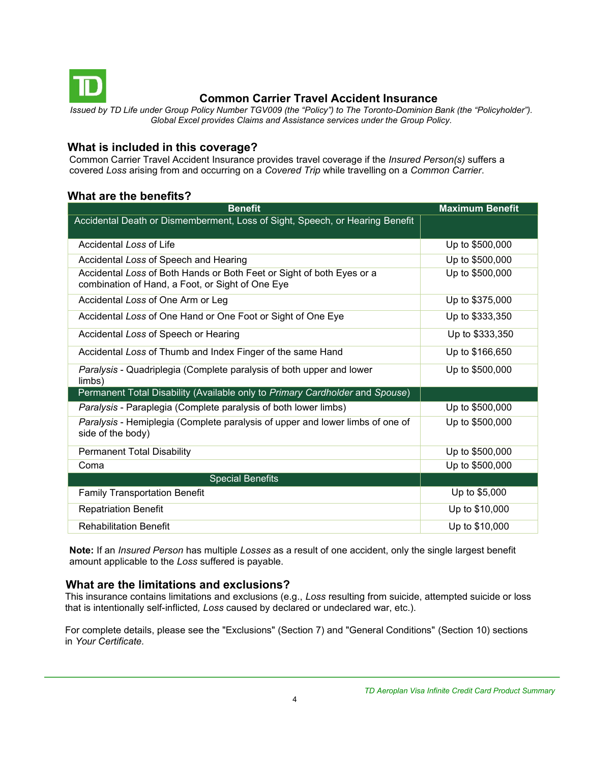<span id="page-3-0"></span>

# **Common Carrier Travel Accident Insurance**

*Issued by TD Life under Group Policy Number TGV009 (the "Policy") to The Toronto-Dominion Bank (the "Policyholder"). Global Excel provides Claims and Assistance services under the Group Policy.*

#### **What is included in this coverage?**

Common Carrier Travel Accident Insurance provides travel coverage if the *Insured Person(s)* suffers a covered *Loss* arising from and occurring on a *Covered Trip* while travelling on a *Common Carrier*.

### **What are the benefits?**

| <b>Benefit</b>                                                                                                            | <b>Maximum Benefit</b> |
|---------------------------------------------------------------------------------------------------------------------------|------------------------|
| Accidental Death or Dismemberment, Loss of Sight, Speech, or Hearing Benefit                                              |                        |
| Accidental Loss of Life                                                                                                   | Up to \$500,000        |
| Accidental Loss of Speech and Hearing                                                                                     | Up to \$500,000        |
| Accidental Loss of Both Hands or Both Feet or Sight of both Eyes or a<br>combination of Hand, a Foot, or Sight of One Eye | Up to \$500,000        |
| Accidental Loss of One Arm or Leg                                                                                         | Up to \$375,000        |
| Accidental Loss of One Hand or One Foot or Sight of One Eye                                                               | Up to \$333,350        |
| Accidental Loss of Speech or Hearing                                                                                      | Up to \$333,350        |
| Accidental Loss of Thumb and Index Finger of the same Hand                                                                | Up to \$166,650        |
| Paralysis - Quadriplegia (Complete paralysis of both upper and lower<br>limbs)                                            | Up to \$500,000        |
| Permanent Total Disability (Available only to Primary Cardholder and Spouse)                                              |                        |
| Paralysis - Paraplegia (Complete paralysis of both lower limbs)                                                           | Up to \$500,000        |
| Paralysis - Hemiplegia (Complete paralysis of upper and lower limbs of one of<br>side of the body)                        | Up to \$500,000        |
| <b>Permanent Total Disability</b>                                                                                         | Up to \$500,000        |
| Coma                                                                                                                      | Up to \$500,000        |
| <b>Special Benefits</b>                                                                                                   |                        |
| <b>Family Transportation Benefit</b>                                                                                      | Up to \$5,000          |
| <b>Repatriation Benefit</b>                                                                                               | Up to \$10,000         |
| <b>Rehabilitation Benefit</b>                                                                                             | Up to \$10,000         |

**Note:** If an *Insured Person* has multiple *Losses* as a result of one accident, only the single largest benefit amount applicable to the *Loss* suffered is payable.

#### **What are the limitations and exclusions?**

This insurance contains limitations and exclusions (e.g., *Loss* resulting from suicide, attempted suicide or loss that is intentionally self-inflicted*, Loss* caused by declared or undeclared war, etc.).

For complete details, please see the "Exclusions" (Section 7) and "General Conditions" (Section 10) sections in *Your Certificate.*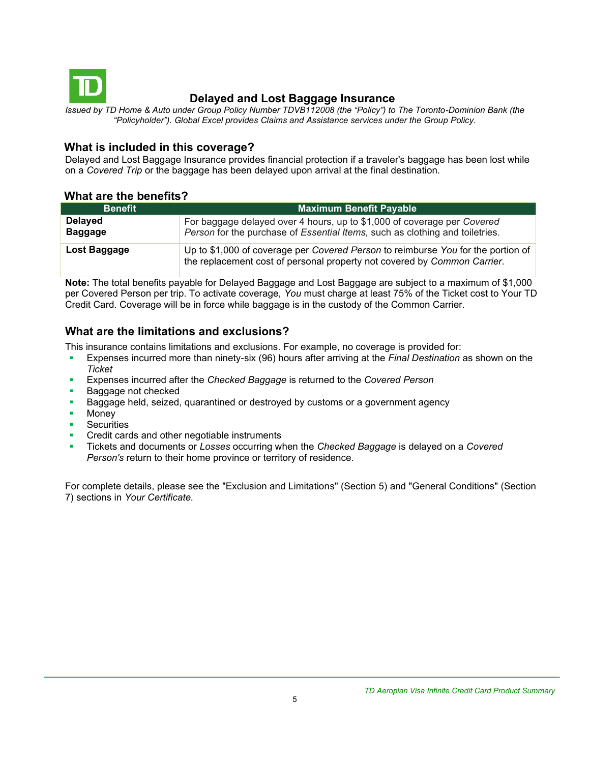<span id="page-4-0"></span>

## **Delayed and Lost Baggage Insurance**

*Issued by TD Home & Auto under Group Policy Number TDVB112008 (the "Policy") to The Toronto-Dominion Bank (the "Policyholder"). Global Excel provides Claims and Assistance services under the Group Policy.*

#### **What is included in this coverage?**

Delayed and Lost Baggage Insurance provides financial protection if a traveler's baggage has been lost while on a *Covered Trip* or the baggage has been delayed upon arrival at the final destination.

#### **What are the benefits?**

| <b>Benefit</b>                   | <b>Maximum Benefit Payable</b>                                                                                                                               |
|----------------------------------|--------------------------------------------------------------------------------------------------------------------------------------------------------------|
| <b>Delayed</b><br><b>Baggage</b> | For baggage delayed over 4 hours, up to \$1,000 of coverage per Covered<br>Person for the purchase of Essential Items, such as clothing and toiletries.      |
| Lost Baggage                     | Up to \$1,000 of coverage per Covered Person to reimburse You for the portion of<br>the replacement cost of personal property not covered by Common Carrier. |

**Note:** The total benefits payable for Delayed Baggage and Lost Baggage are subject to a maximum of \$1,000 per Covered Person per trip. To activate coverage, *You* must charge at least 75% of the Ticket cost to Your TD Credit Card. Coverage will be in force while baggage is in the custody of the Common Carrier.

# **What are the limitations and exclusions?**

This insurance contains limitations and exclusions. For example, no coverage is provided for:

- Expenses incurred more than ninety-six (96) hours after arriving at the *Final Destination* as shown on the *Ticket*
- Expenses incurred after the *Checked Baggage* is returned to the *Covered Person*
- Baggage not checked
- Baggage held, seized, quarantined or destroyed by customs or a government agency
- Money
- **•** Securities
- Credit cards and other negotiable instruments
- Tickets and documents or *Losses* occurring when the *Checked Baggage* is delayed on a *Covered Person's* return to their home province or territory of residence.

For complete details, please see the "Exclusion and Limitations" (Section 5) and "General Conditions" (Section 7) sections in *Your Certificate.*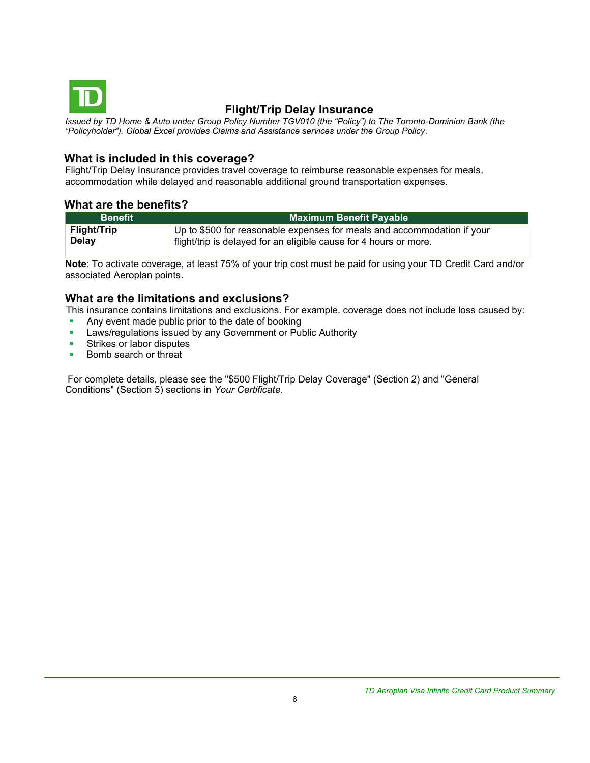<span id="page-5-0"></span>

# **Flight/Trip Delay Insurance**

*Issued by TD Home & Auto under Group Policy Number TGV010 (the "Policy") to The Toronto-Dominion Bank (the "Policyholder"). Global Excel provides Claims and Assistance services under the Group Policy.*

#### **What is included in this coverage?**

Flight/Trip Delay Insurance provides travel coverage to reimburse reasonable expenses for meals, accommodation while delayed and reasonable additional ground transportation expenses.

#### **What are the benefits?**

| <b>Benefit</b>     | <b>Maximum Benefit Payable</b>                                          |
|--------------------|-------------------------------------------------------------------------|
| <b>Flight/Trip</b> | Up to \$500 for reasonable expenses for meals and accommodation if your |
| Delay              | flight/trip is delayed for an eligible cause for 4 hours or more.       |

**Note**: To activate coverage, at least 75% of your trip cost must be paid for using your TD Credit Card and/or associated Aeroplan points.

#### **What are the limitations and exclusions?**

This insurance contains limitations and exclusions. For example, coverage does not include loss caused by:

- **Any event made public prior to the date of booking**
- **EXEC** Laws/regulations issued by any Government or Public Authority
- Strikes or labor disputes
- Bomb search or threat

For complete details, please see the "\$500 Flight/Trip Delay Coverage" (Section 2) and "General Conditions" (Section 5) sections in *Your Certificate.*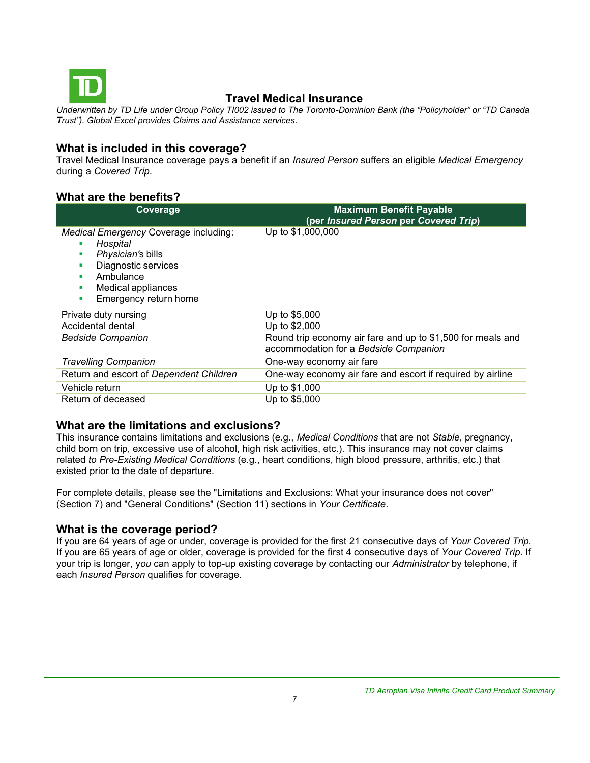<span id="page-6-0"></span>

# **Travel Medical Insurance**

*Underwritten by TD Life under Group Policy TI002 issued to The Toronto-Dominion Bank (the "Policyholder" or "TD Canada Trust"). Global Excel provides Claims and Assistance services.*

#### **What is included in this coverage?**

Travel Medical Insurance coverage pays a benefit if an *Insured Person* suffers an eligible *Medical Emergency*  during a *Covered Trip*.

### **What are the benefits?**

| Coverage                                                                                                                                                       | <b>Maximum Benefit Payable</b><br>(per Insured Person per Covered Trip)                              |
|----------------------------------------------------------------------------------------------------------------------------------------------------------------|------------------------------------------------------------------------------------------------------|
| Medical Emergency Coverage including:<br>Hospital<br>Physician's bills<br>Diagnostic services<br>Ambulance<br>Medical appliances<br>Emergency return home<br>٠ | Up to \$1,000,000                                                                                    |
| Private duty nursing                                                                                                                                           | Up to \$5,000                                                                                        |
| Accidental dental                                                                                                                                              | Up to \$2,000                                                                                        |
| <b>Bedside Companion</b>                                                                                                                                       | Round trip economy air fare and up to \$1,500 for meals and<br>accommodation for a Bedside Companion |
| <b>Travelling Companion</b>                                                                                                                                    | One-way economy air fare                                                                             |
| Return and escort of Dependent Children                                                                                                                        | One-way economy air fare and escort if required by airline                                           |
| Vehicle return                                                                                                                                                 | Up to \$1,000                                                                                        |
| Return of deceased                                                                                                                                             | Up to \$5,000                                                                                        |

#### **What are the limitations and exclusions?**

This insurance contains limitations and exclusions (e.g., *Medical Conditions* that are not *Stable*, pregnancy, child born on trip, excessive use of alcohol, high risk activities, etc.). This insurance may not cover claims related *to Pre-Existing Medical Conditions* (e.g., heart conditions, high blood pressure, arthritis, etc.) that existed prior to the date of departure.

For complete details, please see the "Limitations and Exclusions: What your insurance does not cover" (Section 7) and "General Conditions" (Section 11) sections in *Your Certificate*.

#### **What is the coverage period?**

If you are 64 years of age or under, coverage is provided for the first 21 consecutive days of *Your Covered Trip*. If you are 65 years of age or older, coverage is provided for the first 4 consecutive days of *Your Covered Trip*. If your trip is longer, y*ou* can apply to top-up existing coverage by contacting our *Administrator* by telephone, if each *Insured Person* qualifies for coverage.